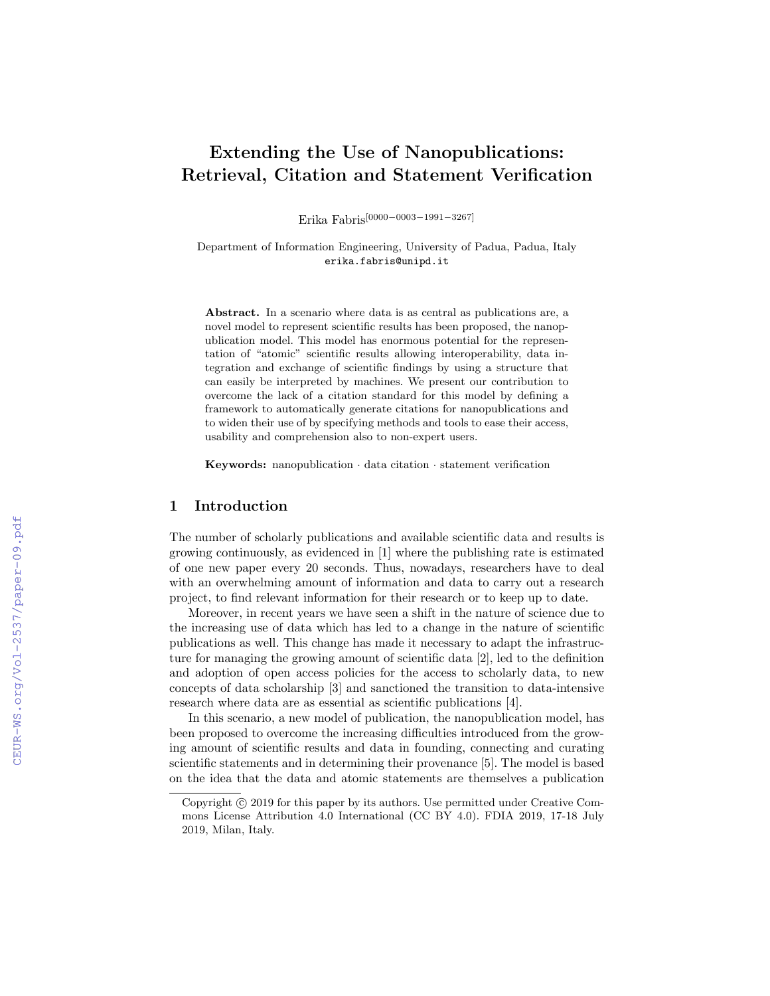# Extending the Use of Nanopublications: Retrieval, Citation and Statement Verification

Erika Fabris[0000−0003−1991−3267]

Department of Information Engineering, University of Padua, Padua, Italy erika.fabris@unipd.it

Abstract. In a scenario where data is as central as publications are, a novel model to represent scientific results has been proposed, the nanopublication model. This model has enormous potential for the representation of "atomic" scientific results allowing interoperability, data integration and exchange of scientific findings by using a structure that can easily be interpreted by machines. We present our contribution to overcome the lack of a citation standard for this model by defining a framework to automatically generate citations for nanopublications and to widen their use of by specifying methods and tools to ease their access, usability and comprehension also to non-expert users.

Keywords: nanopublication *·* data citation *·* statement verification

#### 1 Introduction

The number of scholarly publications and available scientific data and results is growing continuously, as evidenced in [1] where the publishing rate is estimated of one new paper every 20 seconds. Thus, nowadays, researchers have to deal with an overwhelming amount of information and data to carry out a research project, to find relevant information for their research or to keep up to date.

Moreover, in recent years we have seen a shift in the nature of science due to the increasing use of data which has led to a change in the nature of scientific publications as well. This change has made it necessary to adapt the infrastructure for managing the growing amount of scientific data [2], led to the definition and adoption of open access policies for the access to scholarly data, to new concepts of data scholarship [3] and sanctioned the transition to data-intensive research where data are as essential as scientific publications [4].

In this scenario, a new model of publication, the nanopublication model, has been proposed to overcome the increasing difficulties introduced from the growing amount of scientific results and data in founding, connecting and curating scientific statements and in determining their provenance [5]. The model is based on the idea that the data and atomic statements are themselves a publication

Copyright  $\odot$  2019 for this paper by its authors. Use permitted under Creative Commons License Attribution 4.0 International (CC BY 4.0). FDIA 2019, 17-18 July 2019, Milan, Italy.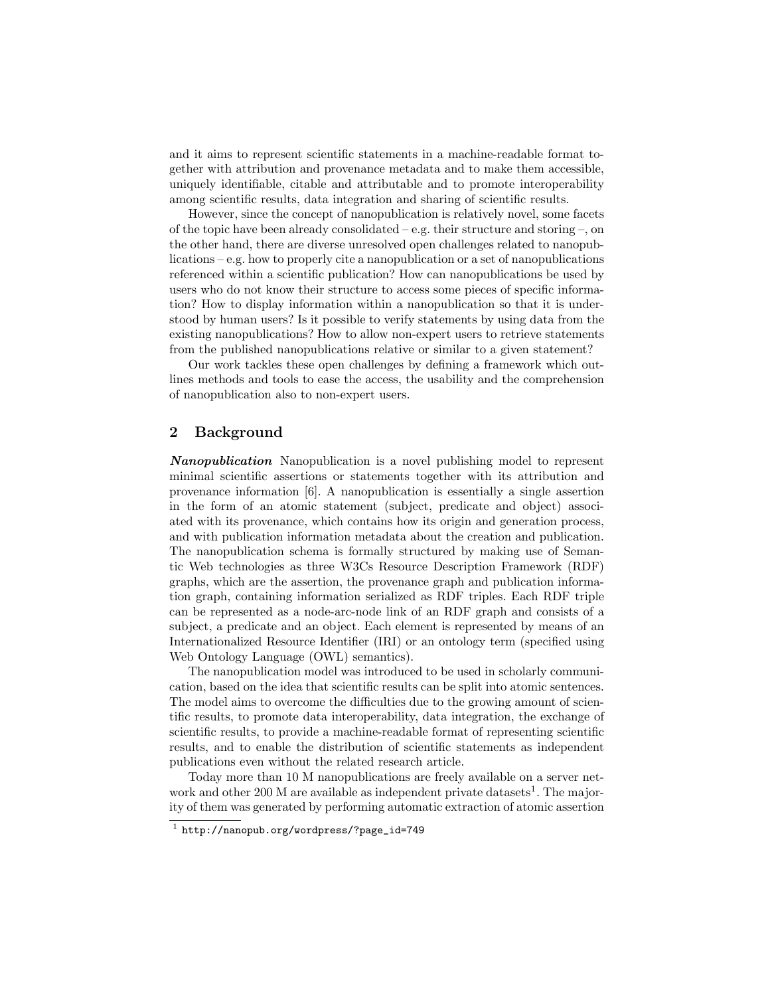and it aims to represent scientific statements in a machine-readable format together with attribution and provenance metadata and to make them accessible, uniquely identifiable, citable and attributable and to promote interoperability among scientific results, data integration and sharing of scientific results.

However, since the concept of nanopublication is relatively novel, some facets of the topic have been already consolidated – e.g. their structure and storing –, on the other hand, there are diverse unresolved open challenges related to nanopublications – e.g. how to properly cite a nanopublication or a set of nanopublications referenced within a scientific publication? How can nanopublications be used by users who do not know their structure to access some pieces of specific information? How to display information within a nanopublication so that it is understood by human users? Is it possible to verify statements by using data from the existing nanopublications? How to allow non-expert users to retrieve statements from the published nanopublications relative or similar to a given statement?

Our work tackles these open challenges by defining a framework which outlines methods and tools to ease the access, the usability and the comprehension of nanopublication also to non-expert users.

## 2 Background

*Nanopublication* Nanopublication is a novel publishing model to represent minimal scientific assertions or statements together with its attribution and provenance information [6]. A nanopublication is essentially a single assertion in the form of an atomic statement (subject, predicate and object) associated with its provenance, which contains how its origin and generation process, and with publication information metadata about the creation and publication. The nanopublication schema is formally structured by making use of Semantic Web technologies as three W3Cs Resource Description Framework (RDF) graphs, which are the assertion, the provenance graph and publication information graph, containing information serialized as RDF triples. Each RDF triple can be represented as a node-arc-node link of an RDF graph and consists of a subject, a predicate and an object. Each element is represented by means of an Internationalized Resource Identifier (IRI) or an ontology term (specified using Web Ontology Language (OWL) semantics).

The nanopublication model was introduced to be used in scholarly communication, based on the idea that scientific results can be split into atomic sentences. The model aims to overcome the difficulties due to the growing amount of scientific results, to promote data interoperability, data integration, the exchange of scientific results, to provide a machine-readable format of representing scientific results, and to enable the distribution of scientific statements as independent publications even without the related research article.

Today more than 10 M nanopublications are freely available on a server network and other 200 M are available as independent private datasets<sup>1</sup>. The majority of them was generated by performing automatic extraction of atomic assertion

<sup>1</sup> http://nanopub.org/wordpress/?page\_id=749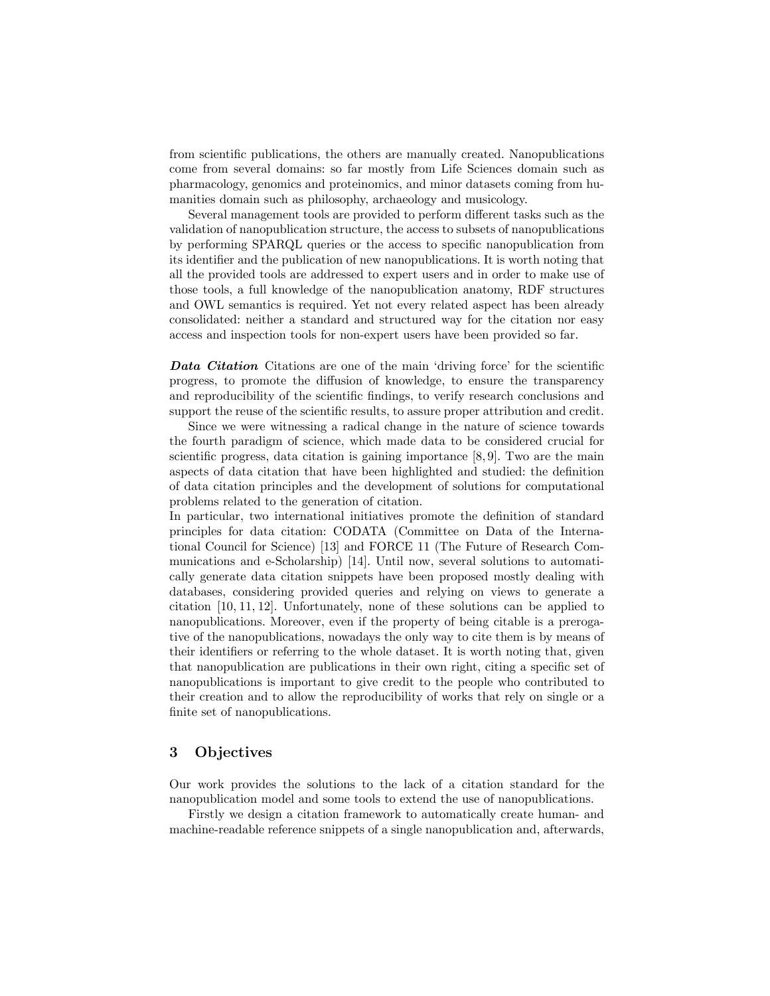from scientific publications, the others are manually created. Nanopublications come from several domains: so far mostly from Life Sciences domain such as pharmacology, genomics and proteinomics, and minor datasets coming from humanities domain such as philosophy, archaeology and musicology.

Several management tools are provided to perform different tasks such as the validation of nanopublication structure, the access to subsets of nanopublications by performing SPARQL queries or the access to specific nanopublication from its identifier and the publication of new nanopublications. It is worth noting that all the provided tools are addressed to expert users and in order to make use of those tools, a full knowledge of the nanopublication anatomy, RDF structures and OWL semantics is required. Yet not every related aspect has been already consolidated: neither a standard and structured way for the citation nor easy access and inspection tools for non-expert users have been provided so far.

*Data Citation* Citations are one of the main 'driving force' for the scientific progress, to promote the diffusion of knowledge, to ensure the transparency and reproducibility of the scientific findings, to verify research conclusions and support the reuse of the scientific results, to assure proper attribution and credit.

Since we were witnessing a radical change in the nature of science towards the fourth paradigm of science, which made data to be considered crucial for scientific progress, data citation is gaining importance [8,9]. Two are the main aspects of data citation that have been highlighted and studied: the definition of data citation principles and the development of solutions for computational problems related to the generation of citation.

In particular, two international initiatives promote the definition of standard principles for data citation: CODATA (Committee on Data of the International Council for Science) [13] and FORCE 11 (The Future of Research Communications and e-Scholarship) [14]. Until now, several solutions to automatically generate data citation snippets have been proposed mostly dealing with databases, considering provided queries and relying on views to generate a citation [10, 11, 12]. Unfortunately, none of these solutions can be applied to nanopublications. Moreover, even if the property of being citable is a prerogative of the nanopublications, nowadays the only way to cite them is by means of their identifiers or referring to the whole dataset. It is worth noting that, given that nanopublication are publications in their own right, citing a specific set of nanopublications is important to give credit to the people who contributed to their creation and to allow the reproducibility of works that rely on single or a finite set of nanopublications.

#### 3 Objectives

Our work provides the solutions to the lack of a citation standard for the nanopublication model and some tools to extend the use of nanopublications.

Firstly we design a citation framework to automatically create human- and machine-readable reference snippets of a single nanopublication and, afterwards,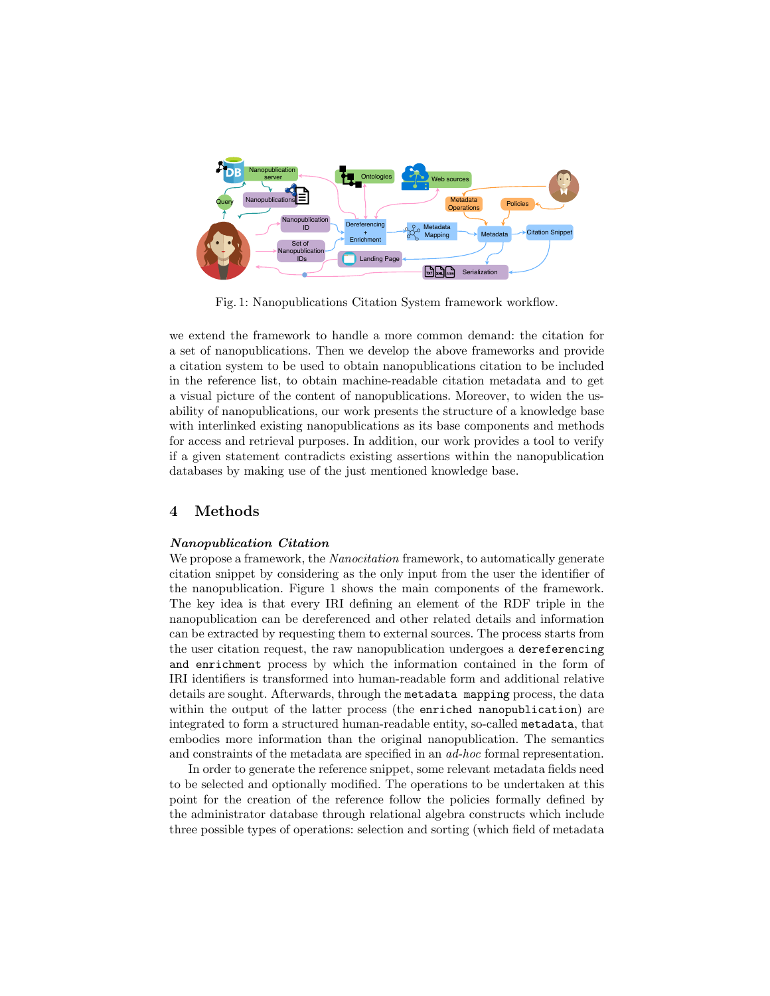

Fig. 1: Nanopublications Citation System framework workflow.

we extend the framework to handle a more common demand: the citation for a set of nanopublications. Then we develop the above frameworks and provide a citation system to be used to obtain nanopublications citation to be included in the reference list, to obtain machine-readable citation metadata and to get a visual picture of the content of nanopublications. Moreover, to widen the usability of nanopublications, our work presents the structure of a knowledge base with interlinked existing nanopublications as its base components and methods for access and retrieval purposes. In addition, our work provides a tool to verify if a given statement contradicts existing assertions within the nanopublication databases by making use of the just mentioned knowledge base.

### 4 Methods

#### *Nanopublication Citation*

We propose a framework, the *Nanocitation* framework, to automatically generate citation snippet by considering as the only input from the user the identifier of the nanopublication. Figure 1 shows the main components of the framework. The key idea is that every IRI defining an element of the RDF triple in the nanopublication can be dereferenced and other related details and information can be extracted by requesting them to external sources. The process starts from the user citation request, the raw nanopublication undergoes a dereferencing and enrichment process by which the information contained in the form of IRI identifiers is transformed into human-readable form and additional relative details are sought. Afterwards, through the metadata mapping process, the data within the output of the latter process (the enriched nanopublication) are integrated to form a structured human-readable entity, so-called metadata, that embodies more information than the original nanopublication. The semantics and constraints of the metadata are specified in an *ad-hoc* formal representation.

In order to generate the reference snippet, some relevant metadata fields need to be selected and optionally modified. The operations to be undertaken at this point for the creation of the reference follow the policies formally defined by the administrator database through relational algebra constructs which include three possible types of operations: selection and sorting (which field of metadata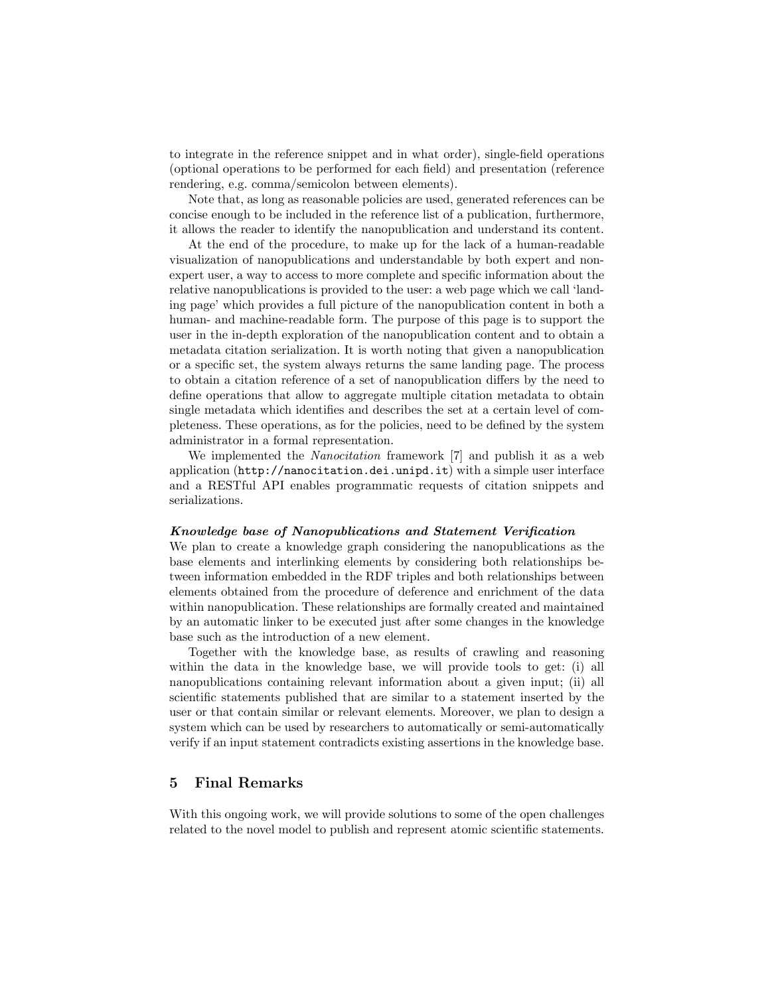to integrate in the reference snippet and in what order), single-field operations (optional operations to be performed for each field) and presentation (reference rendering, e.g. comma/semicolon between elements).

Note that, as long as reasonable policies are used, generated references can be concise enough to be included in the reference list of a publication, furthermore, it allows the reader to identify the nanopublication and understand its content.

At the end of the procedure, to make up for the lack of a human-readable visualization of nanopublications and understandable by both expert and nonexpert user, a way to access to more complete and specific information about the relative nanopublications is provided to the user: a web page which we call 'landing page' which provides a full picture of the nanopublication content in both a human- and machine-readable form. The purpose of this page is to support the user in the in-depth exploration of the nanopublication content and to obtain a metadata citation serialization. It is worth noting that given a nanopublication or a specific set, the system always returns the same landing page. The process to obtain a citation reference of a set of nanopublication differs by the need to define operations that allow to aggregate multiple citation metadata to obtain single metadata which identifies and describes the set at a certain level of completeness. These operations, as for the policies, need to be defined by the system administrator in a formal representation.

We implemented the *Nanocitation* framework [7] and publish it as a web application (http://nanocitation.dei.unipd.it) with a simple user interface and a RESTful API enables programmatic requests of citation snippets and serializations.

#### *Knowledge base of Nanopublications and Statement Verification*

We plan to create a knowledge graph considering the nanopublications as the base elements and interlinking elements by considering both relationships between information embedded in the RDF triples and both relationships between elements obtained from the procedure of deference and enrichment of the data within nanopublication. These relationships are formally created and maintained by an automatic linker to be executed just after some changes in the knowledge base such as the introduction of a new element.

Together with the knowledge base, as results of crawling and reasoning within the data in the knowledge base, we will provide tools to get: (i) all nanopublications containing relevant information about a given input; (ii) all scientific statements published that are similar to a statement inserted by the user or that contain similar or relevant elements. Moreover, we plan to design a system which can be used by researchers to automatically or semi-automatically verify if an input statement contradicts existing assertions in the knowledge base.

## 5 Final Remarks

With this ongoing work, we will provide solutions to some of the open challenges related to the novel model to publish and represent atomic scientific statements.